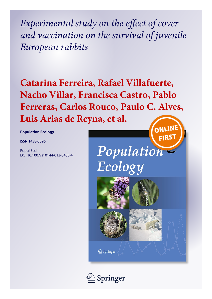*Experimental study on the effect of cover and vaccination on the survival of juvenile European rabbits*

**Catarina Ferreira, Rafael Villafuerte, Nacho Villar, Francisca Castro, Pablo Ferreras, Carlos Rouco, Paulo C. Alves, Luis Arias de Reyna, et al.**ONLINI

**Population Ecology**

ISSN 1438-3896

Popul Ecol DOI 10.1007/s10144-013-0403-4







 $\hat{\mathcal{D}}$  Springer

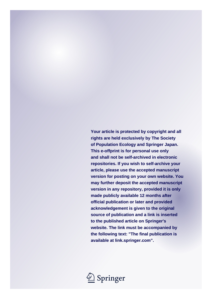**Your article is protected by copyright and all rights are held exclusively by The Society of Population Ecology and Springer Japan. This e-offprint is for personal use only and shall not be self-archived in electronic repositories. If you wish to self-archive your article, please use the accepted manuscript version for posting on your own website. You may further deposit the accepted manuscript version in any repository, provided it is only made publicly available 12 months after official publication or later and provided acknowledgement is given to the original source of publication and a link is inserted to the published article on Springer's website. The link must be accompanied by the following text: "The final publication is available at link.springer.com".**

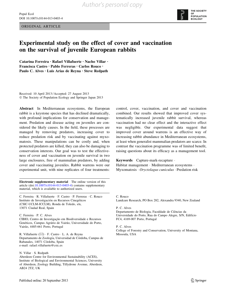ORIGINAL ARTICLE



# Experimental study on the effect of cover and vaccination on the survival of juvenile European rabbits

Catarina Ferreira • Rafael Villafuerte • Nacho Villar • Francisca Castro • Pablo Ferreras • Carlos Rouco • Paulo C. Alves • Luis Arias de Reyna • Steve Redpath

Received: 10 April 2013 / Accepted: 27 August 2013 - The Society of Population Ecology and Springer Japan 2013

Abstract In Mediterranean ecosystems, the European rabbit is a keystone species that has declined dramatically, with profound implications for conservation and management. Predation and disease acting on juveniles are considered the likely causes. In the field, these processes are managed by removing predators, increasing cover to reduce predation risk and by vaccinating against myxomatosis. These manipulations can be costly and, when protected predators are killed, they can also be damaging to conservation interests. Our goal was to test the effectiveness of cover and vaccination on juvenile survival in two large enclosures, free of mammalian predators, by adding cover and vaccinating juveniles. Rabbit warrens were our experimental unit, with nine replicates of four treatments:

Electronic supplementary material The online version of this article (doi:[10.1007/s10144-013-0403-4\)](http://dx.doi.org/10.1007/s10144-013-0403-4) contains supplementary material, which is available to authorized users.

C. Ferreira · R. Villafuerte · F. Castro · P. Ferreras · C. Rouco Instituto de Investigación en Recursos Cinegéticos (CSIC-UCLM-JCCLM), Ronda de Toledo, s/n, 13071 Ciudad Real, Spain

C. Ferreira - P. C. Alves CIBIO, Centro de Investigação em Biodiversidade e Recursos Genéticos, Campus Agrário de Vairão, Universidade do Porto, Vairão, 4485-661 Porto, Portugal

R. Villafuerte (⊠) · F. Castro · L. A. de Reyna Departamento de Zoología, Universidad de Córdoba, Campus de Rabanales, 14071 Córdoba, Spain e-mail: rafael.villafuerte@csic.es

N. Villar - S. Redpath

Aberdeen Centre for Environmental Sustainability (ACES), Institute of Biological and Environmental Sciences, University of Aberdeen, Zoology Building, Tillydrone Avenue, Aberdeen, AB24 2TZ, UK

control, cover, vaccination, and cover and vaccination combined. Our results showed that improved cover systematically increased juvenile rabbit survival, whereas vaccination had no clear effect and the interactive effect was negligible. Our experimental data suggest that improved cover around warrens is an effective way of increasing rabbit abundance in Mediterranean ecosystems, at least when generalist mammalian predators are scarce. In contrast the vaccination programme was of limited benefit, raising questions about its efficacy as a management tool.

Keywords Capture-mark-recapture -

Habitat management · Mediterranean ecosystems · Myxomatosis · Oryctolagus cuniculus · Predation risk

C. Rouco

Landcare Research, PO Box 282, Alexandra 9340, New Zealand

P. C. Alves

Departamento de Biologia, Faculdade de Ciências da Universidade do Porto, Rua do Campo Alegre, S/N, Edifício FC4, 4169-007 Porto, Portugal

P. C. Alves College of Forestry and Conservation, University of Montana, Missoula, USA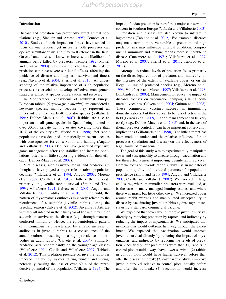### Introduction

Disease and predation can profoundly affect animal populations (e.g., Sinclair and Arcese [1995;](#page-9-0) Connors et al. [2010\)](#page-8-0). Studies of their impact on fitness have tended to focus on one process, yet in reality both processes can operate simultaneously, and may well interact in the field. On one hand, disease is known to increase the likelihood of animals being killed by predators (Temple [1987;](#page-9-0) Møller and Erritzoe [2000\)](#page-9-0); whilst on the other hand, the risk of predation can have severe sub-lethal effects, affecting the incidence of disease and long-term survival and fitness (e.g., Navarro et al. [2004;](#page-9-0) Sheriff et al. [2011\)](#page-9-0). An understanding of the relative importance of such population processes is crucial to develop effective management strategies aimed at species conservation and recovery.

In Mediterranean ecosystems of southwest Europe, European rabbits (Oryctolagus cuniculus) are considered a keystone species, mainly because they represent an important prey for nearly 40 predator species (Villafuerte [1994;](#page-9-0) Delibes-Mateos et al. [2007\)](#page-9-0). Rabbits are also an important small-game species in Spain, being hunted in over 30,000 private hunting estates covering more than 70 % of the country (Villafuerte et al. [1998](#page-9-0)). Yet rabbit populations have declined dramatically in recent decades with consequences for conservation and hunting (Angulo and Villafuerte [2003](#page-8-0)). Declines have generated expensive game management efforts to stabilize and increase populations, often with little supporting evidence for their efficacy (Delibes-Mateos et al. [2008](#page-9-0)).

Viral diseases, such as myxomatosis, and predation are thought to have played a major role in rabbit population declines (Villafuerte et al. [1994](#page-9-0); Angulo [2003;](#page-8-0) Moreno et al. [2007](#page-9-0); Cotilla et al. [2010\)](#page-8-0). Both of them operate primarily on juvenile rabbit survival (Smith and Trout [1994;](#page-9-0) Villafuerte [1994;](#page-9-0) Calvete et al. [2002](#page-8-0); Angulo and Villafuerte [2003;](#page-8-0) Cotilla et al. [2010\)](#page-8-0). In the wild, the pattern of myxomatosis outbreaks is closely related to the recruitment of susceptible juvenile rabbits during the breeding season (Calvete et al. [2002](#page-8-0)). Juvenile rabbits are virtually all infected in their first year of life and they either sucumb or survive to the disease (e.g., through maternal conferred immunity). Hence, the epidemiological pattern of myxomatosis is characterized by a rapid increase of antibodies in juvenile rabbits as a consequence of the annual outbreak, resulting in a high prevalence of antibodies in adult rabbits (Calvete et al. [2004](#page-8-0)). Similarly, predation acts predominantly on the younger age classes (Villafuerte [1994](#page-9-0); Cotilla and Villafuerte [2007;](#page-8-0) Tablado et al. [2012\)](#page-9-0). This predation pressure on juvenile rabbits is imposed mainly by raptors during winter and spring, potentially causing the loss of over 60 % of the reproductive potential of the population (Villafuerte [1994\)](#page-9-0). The impact of avian predation is therefore a major conservation concern in southern Europe (Viñuela and Villafuerte [2003](#page-9-0)).

Predation and disease are also known to interact in lagomorphs (Tablado et al. [2012\)](#page-9-0). For example, diseases may make rabbits more vulnerable to predation and high predation risk may influence physical condition, compromising immunity and making rabbits more vulnerable to disease (Dunsmore et al. [1971;](#page-9-0) Villafuerte et al. [1997](#page-9-0); Moreno et al. [2007;](#page-9-0) Sheriff et al. [2011;](#page-9-0) Tablado et al. [2012](#page-9-0)).

Attempts to reduce levels of predation focus primarily on the direct legal control of predators and, indirectly, on the increase of the extent of available cover, or on the illegal killing of protected species (e.g., Moreno et al. [1996](#page-9-0); Villafuerte and Moreno [1997](#page-9-0); Villafuerte et al. [1998](#page-9-0); Lombardi et al. [2003\)](#page-9-0). Management to reduce the impact of diseases focuses on vaccination campaigns using commercial vaccines (Calvete et al. [2004](#page-8-0); Guitton et al. [2008](#page-9-0)). These commercial vaccines succeed in immunizing domestic rabbits, but they appear to be less effective in the field (Ferreira et al. [2009](#page-9-0)). Rabbit management can be very costly (e.g., Delibes-Mateos et al. [2008](#page-9-0)) and, in the case of illegal predator control, it can have important conservation implications (Villafuerte et al. [1998\)](#page-9-0). Yet little attempt has been made to understand the relative influence of both processes (predation and disease) on the effectiveness of legal forms of management.

The goal of this study was to experimentally manipulate cover and susceptability to disease through vaccination and test their effectiveness at improving juvenile rabbit survival. Here we focus on juvenile rabbit survival, as an indicator of population quality and a crucial parameter for population persistence (Smith and Trout [1994](#page-9-0); Angulo and Villafuerte [2003](#page-8-0); Cotilla and Villafuerte [2007](#page-8-0)). We worked in large enclosures, where mammalian predators were excluded, as is the case in many managed hunting estates, and where there was grass, but little other cover. We increased cover around rabbit warrens and manipulated susceptability to disease by vaccinating juvenile rabbits against myxomatosis using a standard, commercial vaccine.

We expected that cover would improve juvenile survival directly by reducing predation by raptors, and indirectly by reducing the impact of myxomatosis. We anticipated that myxomatosis would outbreak half way through the experiment. We expected that vaccination would improve juvenile survival directly by reducing the impact of myxomatosis, and indirectly by reducing the levels of predation. Specifically, our predictions were that: (1) rabbits in control plots would always have lower survival; (2) rabbits in control plots would have higher survival before than after the disease outbreak; (3) cover would always improve juvenile survival relative to control plots, equally before and after the outbreak; (4) vaccination would increase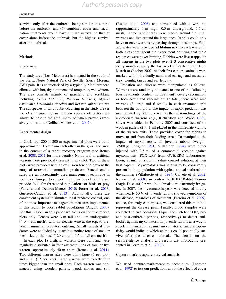survival only after the outbreak, being similar to control before the outbreak; and (5) combined cover and vaccination treatments would have similar survival to that of cover alone before the outbreak, but the highest survival after the outbreak.

### Methods

#### Study area

The study area (Los Melonares) is situated in the south of the Sierra Norte Natural Park of Seville, Sierra Morena, SW Spain. It is characterised by a typically Mediterranean climate, with hot, dry summers and temperate, wet winters. The area consists mainly of grassland and scrubland including Cistus ladanifer, Pistacia lentiscus, Myrtus communis, Lavandula stoechas and Retama sphaerocarpa. The subspecies of wild rabbit occurring in the study area is the O. cuniculus algirus. Eleven species of raptors are known to nest in the area, many of which preyed extensively on rabbits (Delibes-Mateos et al. [2007\)](#page-9-0).

## Experimental design

In 2002, four 200  $\times$  200 m experimental plots were built, approximately 1 km from each other in the grassland area, in the context of a rabbit recovery program (see Rouco et al. [2008,](#page-9-0) [2011](#page-9-0) for more details). No natural or artificial warrens were previously present in any plot. Two of these plots were provided with an exclusion fence to prevent the entry of terrestrial mammalian predators. Fenced enclosures are an increasingly used management technique in southwest Europe, to support high densities of rabbits and provide food for threatened populations of birds of prey (Ferreira and Delibes-Mateos [2010](#page-9-0); Ferrer et al. [2013](#page-9-0); Guerrero-Casado et al. [2013](#page-9-0)). Additionally, these are convenient systems to simulate legal predator control, one of the most important management measures implemented in this region to boost rabbit populations (Angulo [2003](#page-8-0)). For this reason, in this paper we focus on the two fenced plots only. Fences were 3 m tall and 1 m underground  $(4 \times 4$  cm mesh), with an electric wire at the top, to prevent mammalian predators entering. Small terrestrial predators were excluded by attaching another fence of smaller mesh size at the base (120 cm tall,  $1.5 \times 1.5$  cm mesh).

In each plot 18 artificial warrens were built and were regularly distributed in four alternate lines of four or five warrens approximately 40 m apart (Rouco et al. [2011](#page-9-0)). Two different warren sizes were built: large (6 per plot) and small (12 per plot). Large warrens were exactly four times bigger than the small ones. Each warren was constructed using wooden pallets, wood, stones and soil (Rouco et al. [2008](#page-9-0)) and surrounded with a wire net (approximately 1 m high, 0.5 m underground, 1.5 cm mesh). Three rabbit traps were placed around the small warrens and five around the large ones. Rabbits could only leave or enter warrens by passing through these traps. Food and water were provided ad libitum next to each warren in both plots throughout the experiment ensuring that these resources were never limiting. Rabbits were live-trapped in all warrens in the two plots over 2–3 consecutive nights every month (usually the last week of each month) from March to October 2007. At their first capture, animals were marked with individually numbered ear tags and measured (sex, weight, tarsus and ear length).

Predation and disease were manipulated as follows. Warrens were randomly allocated to one of the following four treatments: control (no treatment), cover, vaccination, or both cover and vaccination. In total, there were nine warrens (3 large and 6 small) in each treatment split between the two plots. The impact of raptor predation was manipulated by adding cover to the surroundings of the appropriate warrens (e.g., Richardson and Wood [1982](#page-9-0)). Cover was added in February 2007 and consisted of six wooden pallets  $(2 \times 1$  m) placed in the immediate vicinity of the warren exits. These provided cover for rabbits to move to and from their feeding areas. To manipulate the impact of myxomatosis, all juvenile rabbits (weight  $\leq$ 900 g; Soriguer [1981](#page-9-0); Villafuerte [1994](#page-9-0)) were either injected with 0.5 ml of a commercial vaccine against myxomatosis (POX-LAP from OVEJERO Laboratories, León, Spain), or a 0.5 ml saline control solution, at their first capture. Myxomatosis was known to be consistently present in the population with typical annual outbreaks in the summer (Villafuerte et al. [1994;](#page-9-0) Calvete et al. [2002](#page-8-0); Rouco et al. [2008\)](#page-9-0), in contrast to RHD (Rabbit Hemorrhagic Disease) for which outbreaks are extremely irregular. In 2007, the myxomatosis peak was detected in July when nearly 50 % of juvenile rabbits showed symptoms of the disease, regardless of treatment (Ferreira et al. [2009](#page-9-0)), and so, for analyses purposes, we considered this month to represent the disease peak. Finally, blood samples were collected in two occasions (April and October 2007, preand post-outbreak periods, respectively) to detect antibodies against myxomatosis in juvenile rabbits as a way to check immunization against myxomatosis, since seropositivity would indicate which animals could potentially survive after the disease outbreak. The details on the seroprevalence analysis and results are throroughly presented in Ferreira et al. [\(2009](#page-9-0)).

Capture-mark-recapture survival analysis

We used capture-mark-recapture techniques (Lebreton et al. [1992\)](#page-9-0) to test our predictions about the effects of cover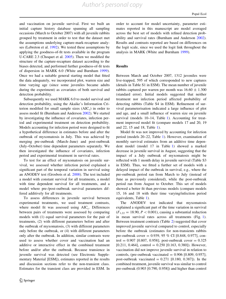*Author's personal copy*

and vaccination on juvenile survival. First we built an initial capture history database spanning all sampling occasions (March to October 2007) with all juvenile rabbits grouped by treatment in order to test that the dataset met the assumptions underlying capture-mark-recapture analyses (Lebreton et al. [1992](#page-9-0)). We tested these assumptions by applying the goodness-of-fit tests available in the program U-CARE 2.3 (Choquet et al. [2005\)](#page-8-0). Then we modified the structure of the capture-recapture dataset according to the biases detected, and performed further goodness-of-fit tests of dispersion in MARK 6.0 (White and Burnham [1999](#page-9-0)). Once we had a suitable general starting model that fitted the data adequately, we incorporated plot, warren size and time varying age (since some juveniles became adults during the experiment) as covariates of both survival and detection probability.

Subsequently we used MARK 6.0 to model survival and detection probability, using the Akaike's Information Criterion modified for small sample sizes  $(AIC<sub>c</sub>)$  in order to assess model fit (Burnham and Anderson [2002\)](#page-8-0). We started by investigating the influence of covariates, infection period and experimental treatment on detection probability. Models accounting for infection period were designed to fit a hypothetical difference in estimates before and after the outbreak of myxomatosis in July. This was achieved by merging pre-outbreak (March–June) and post-outbreak (July–October) time dependent parameters separately. We then investigated the influence of covariates, infection period and experimental treatment in survival rates.

To test for an effect of myxomatosis on juvenile survival, we assessed whether infection period explained a significant part of the temporal variation in survival using an ANODEV test (Grosbois et al. [2008](#page-9-0)). The test included a model with constant survival for all treatments, a model with time dependent survival for all treatments, and a model where pre-/post-outbreak survival parameters differed additively for all treatments.

To assess differences in juvenile survival between experimental treatments, we used treatment contrasts, where model fit was assessed using  $AIC_c$ . Differences between pairs of treatments were assessed by comparing models with (1) equal survival parameters for the pair of treatments, (2) with different parameters before and after the outbreak of myxomatosis, (3) with different parameters only before the outbreak, or (4) with different parameters only after the outbreak. In addition, similar contrasts were used to assess whether cover and vaccination had an additive or interactive effect in the combined treatment before and/or after the outbreak. Because transience in juvenile survival was detected (see Electronic Supplementary Material [ESM]), estimates reported in the results and discussion sections refer to the non-transient class. Estimates for the transient class are provided in ESM. In order to account for model uncertainty, parameter estimates reported in this manuscript are model averaged across the best set of models with refined detection probability and survival rates (Burnham and Anderson [2002](#page-8-0)). Results and contrasts reported are based on differences on the logit scale, since we used the logit link throughout the analysis in MARK (White and Burnham [1999](#page-9-0)).

## Results

Between March and October 2007, 1312 juveniles were live-trapped, 595 of which corresponded to new captures (details in Table S1 in ESM). The mean number of juvenile rabbits captured per warren per month was  $16.60 \pm 1.300$ (standard error). Initial models suggested that neither treatment nor infection period affected probability of detecting rabbits (Table S4 in ESM). Refinement of survival parameterisation indicated a large influence of plot and age, and a small influence of warren size on juvenile survival (models 10–14, Table [1](#page-6-0)). Accounting for treatment improved model fit (compare models 17 and 20, 19 and 22, 15 and 18, Table [1\)](#page-6-0).

Model fit was not improved by accounting for infection period (models 20–22, Table [1\)](#page-6-0). However, examination of monthly survival estimates from an additive time dependent model (model 17 in Table [1](#page-6-0)) showed a marked decrease in juvenile survival in August, suggesting that the impact of a July outbreak of myxomatosis might be reflected with 1 month delay in juvenile survival (Table S3 in ESM). Thus, we fitted a further set of models with a delayed impact of the outbreak in survival, e.g., where the pre-outbreak period ran from March to July (instead of June as previously considered), while the post-outbreak period ran from August to October. This set of models showed a better fit than previous models (compare models 15, 16 and 18 with their time varying/infection period equivalents, Table [1\)](#page-6-0).

The ANODEV test indicated that myxomatosis explained a significant part of the time variation in survival  $(F_{1,22} = 18.90, P < 0.001)$ , causing a substantial reduction in mean survival rates across all treatments (Fig. [1](#page-7-0)). Between treatment contrasts (Table [2\)](#page-8-0) suggested that cover improved juvenile survival compared to control, especially before the outbreak (estimates for non-transients rabbits pre-outbreak cover = 0.939, 95 % CI [0.848, 0.977], control =  $0.907$  [0.807, 0.958]; post-outbreak cover =  $0.325$ [0.211, 0.464], control = 0.250 [0.163, 0.380]). However, vaccination did not improve juvenile survival in relation to controls, (pre-outbreak vaccinated  $= 0.906$  [0.809, 0.957]; post-outbreak vaccinated  $= 0.271$  [0.180, 0.387]). In the combined treatment, juvenile survival was similar to control pre-outbreak (0.903 [0.790, 0.958]) and higher than control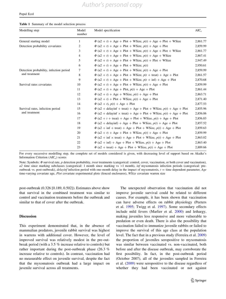<span id="page-6-0"></span>Table 1 Summary of the model selection process

| Modelling step                                           | Model<br>number | Model specification                                                                    | $AIC_c$  |
|----------------------------------------------------------|-----------------|----------------------------------------------------------------------------------------|----------|
| General starting model                                   | $\mathbf{1}$    | $\Phi$ (a2 + t) + Age + Plot + WSize, $p(t)$ + Age + Plot + WSize                      | 2,861.77 |
| Detection probability covariates                         | 2               | $\Phi$ (a2 + t) + Age + Plot + WSize, $p(t)$ + Age + Plot                              | 2,859.99 |
|                                                          | 3               | $\Phi$ (a2 + t) + Age + Plot + WSize, $p(t)$ + Age + Plot + WSize                      | 2,861.77 |
|                                                          | 4               | $\Phi$ (a2 + t) + Age + Plot + WSize, $p(t)$ + Age + WSize                             | 2,867.41 |
|                                                          | 5               | $\Phi$ (a2 + t) + Age + Plot + WSize, $p(t)$ + Plot + WSize                            | 2,947.49 |
|                                                          | 6               | $\Phi$ (a2 + t) + Age + Plot + WSize, $p(t)$                                           | 2,950.61 |
| Detection probability, infection period<br>and treatment | 7               | $\Phi$ (a2 + t) + Age + Plot + WSize, $p(t)$ + Age + Plot                              | 2,859.99 |
|                                                          | 8               | $\Phi$ (a2 + t) + Age + Plot + WSize, $p(t + \text{treat}) + \text{Age} + \text{Plot}$ | 2,861.57 |
|                                                          | 9               | $\Phi$ (a2 + t) + Age + Plot + WSize, $p(t + inf)$ + Age + Plot                        | 2,870.68 |
| Survival rates covariates                                | 10              | $\Phi$ (a2 + t) + Age + Plot + WSize, $p(t)$ + Age + Plot                              | 2,859.99 |
|                                                          | 11              | $\Phi$ (a2 + t) + Age + Plot, $p(t)$ + Age + Plot                                      | 2,861.44 |
|                                                          | 12              | $\Phi$ (a2 + t) + Age + WSize, $p(t)$ + Age + Plot                                     | 2,863.71 |
|                                                          | 13              | $\Phi$ (a2 + t) + Plot + WSize, $p(t)$ + Age + Plot                                    | 2,871.40 |
|                                                          | 14              | $\Phi$ (a2 + t), $p(t)$ + Age + Plot                                                   | 2,877.53 |
| Survival rates, infection period<br>and treatment        | 15              | $\Phi$ (a2 + delayinf + treat) + Age + Plot + WSize, $p(t)$ + Age + Plot               | 2,855.96 |
|                                                          | 16              | $\Phi$ (a2 + delayinf $\times$ treat) + Age + Plot + WSize, $p(t)$ + Age + Plot        | 2,856.06 |
|                                                          | 17              | $\Phi$ (a2 + t + treat) + Age + Plot + WSize, $p(t)$ + Age + Plot                      | 2,856.83 |
|                                                          | 18              | $\Phi$ (a2 + delayinf) + Age + Plot + WSize, $p(t)$ + Age + Plot                       | 2,857.52 |
|                                                          | 19              | $\Phi$ (a2 + inf + treat) + Age + Plot + WSize, $p(t)$ + Age + Plot                    | 2,859.63 |
|                                                          | 20              | $\Phi$ (a2 + t) + Age + Plot + WSize, $p(t)$ + Age + Plot                              | 2,859.99 |
|                                                          | 21              | $\Phi$ (a2 + inf $\times$ treat) + Age + Plot + WSize, $p(t)$ + Age + Plot             | 2,863.02 |
|                                                          | 22              | $\Phi$ (a2 + inf) + Age + Plot + WSize, $p(t)$ + Age + Plot                            | 2,863.40 |
|                                                          | 23              | $\Phi$ (a2 + treat) + Age + Plot + WSize, $p(t)$ + Age + Plot                          | 2,889.66 |

For every successive modelling step, the complete set of models considered is given, with decreasing level of support based on Akaike's Information Criterion  $(AIC<sub>c</sub>)$  scores

Note: Symbols:  $\Phi$  survival rate, p detection probability, treat treatments (categorical: control, cover, vaccination, or both cover and vaccination),  $a2$  time since marking subclasses (categorical: 1 month since marking vs  $>1$  month), inf myxomatosis infection periods (categorical: preoutbreak vs. post-outbreak), *delayinf* infection period with one-month delay in the impact of myxomatosis,  $t =$  time dependent parameter, Age time-varying covariate age, Plot covariate experimental plots (fenced enclosures), WSize covariate warren size

post-outbreak (0.326 [0.189, 0.502]). Estimates above show that survival in the combined treatment was similar to control and vaccination treatments before the outbreak and similar to that of cover after the outbreak.

#### Discussion

This experiment demonstrated that, in the absence of mammalian predators, juvenile rabbit survival was highest in warrens with additional cover. However, the level of improved survival was relatively modest in the pre-outbreak period (with a 3.5 % increase relative to controls) but rather important during the post-outbreak phase (26.3 % increase relative to controls). In contrast, vaccination had no measurable effect on juvenile survival, despite the fact that the myxomatosis outbreak had a large impact on juvenile survival across all treatments.

The unexpected observation that vaccination did not improve juvenile survival could be related to different causes. For example, it has been shown that vaccination can have adverse effects on rabbit physiology (Peeters et al. [1995;](#page-9-0) Twigg et al. [1997](#page-9-0)). Some secondary effects include mild fevers (Marlier et al. [2000\)](#page-9-0) and lethargy, making juveniles less responsive and more vulnerable to predation or even death. There is also the possibility that vaccination failed to immunize juvenile rabbits or failed to improve the survival of this age class at the population level. The fact that in a previous study (Ferreira et al. [2009\)](#page-9-0) the proportion of juveniles seropositive to myxomatosis was similar between vaccinated vs. non-vaccinated, both before and after the disease outbreak, may corroborate the first possibility. In fact, in the post-outbreak period (October 2007), all of the juveniles sampled in Ferreira et al. ([2009\)](#page-9-0) were seropositive to the disease regardless of whether they had been vaccinated or not against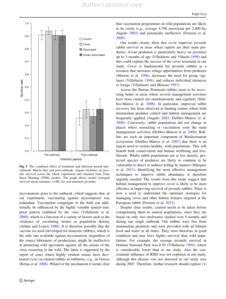<span id="page-7-0"></span>

Fig. 1 The combined effect of treatment and infection period (preoutbreak: March–July and post-outbreak: August–October) on juvenile survival across the whole experiment and obtained from Time Since Marking (TSM) models. The graph shows model averaged survival mean estimates  $(\pm SE)$  for non-transient juveniles

myxomatosis prior to the outbreak, which suggests that, in our experiment, vaccinating against myxomatosis was redundant. Vaccination campaigns in the field can additionally be influenced by the highly variable spatial–temporal pattern exhibited by the virus (Villafuerte et al. [2000\)](#page-9-0), which is a function of a variety of factors such as the virulence of circulating strains or population density (Arthur and Louzis [1988](#page-8-0)). It is therefore possible that the vaccine we used (developed for domestic rabbits), which is the only one available against myxomatosis (regardless of the source laboratory of production), might be ineffective at protecting wild specimens against all the strains of the virus occurring in the wild. The latter is supported by the report of cases where highly virulent strains have decimated even vaccinated rabbits in rabbitries, e.g., in Greece (Kritas et al. [2008\)](#page-9-0). Whatever the mechanism it seems clear that vaccination programmes in wild populations are likely to be costly (e.g., average 4,790 euros/year per 2,000 ha; Angulo [2003\)](#page-8-0) and potentially ineffective (Ferreira et al. [2009](#page-9-0)).

Our results clearly show that cover improves juvenile rabbit survival in areas where raptors are their main predators. Avian predation is particularly heavy on juveniles up to 3 months of age (Villafuerte and Viñuela [1999](#page-9-0)) and this could explain the success of the cover treatment in our study. Cover is fundamental for juvenile rabbits as a resource that increases refuge opportunities from predators (Moreno et al. [1996](#page-9-0)), decreases the need for group vigilance (Villafuerte [1994](#page-9-0)), and reduces individual distances to forage (Villafuerte and Moreno [1997\)](#page-9-0).

Across the Iberian Peninsula rabbits seem to be recovering better in areas where several management activities have been carried out simultaneously and regularly (Delibes-Mateos et al. [2008\)](#page-9-0). In particular, improved rabbit recovery has been observed in hunting estates where both mammalian predator control and habitat management are frequently applied (Angulo [2003;](#page-8-0) Delibes-Mateos et al. [2008](#page-9-0)). Conversely, rabbit populations did not change in places where restocking or vaccination were the main management activities (Delibes-Mateos et al. [2008](#page-9-0)). Rabbits are such an important component of Mediterranean ecosystems (Delibes-Mateos et al. [2007](#page-9-0)) that there is an urgent need to restore healthy, wild populations. This will benefit both conservation and human wellbeing and livelihoods. Whilst rabbit populations are at low density, protected species of predators are likely to continue to be vulnerable to direct or indirect killing by hunters (Márquez et al. [2013](#page-9-0)). Identifying the most effective management techniques to improve rabbit abundance is therefore urgently needed. The results from this study suggest that habitat management to improve cover is likely to be most effective at improving survival of juvenile rabbits. There is now a need to understand the optimum strategies for managing cover and other habitat features targeted at the European rabbit (Ferreira et al. [2013\)](#page-9-0).

Despite clear results, caution needs to be taken before extrapolating them to natural populations, since they are based on only two enclosures studied over 8 months and during one single outbreak. Our rabbits were free from mammalian predators and were provided with ad libitum food and water at all times. They were therefore in good condition and may have higher survival than wild populations. For example, the average juvenile survival in Doñana National Park was 0.45 (Villafuerte [1994\)](#page-9-0), which is considerably lower than in our study. Also the concomitant influence of RHD was not explored in our study, although this disease was not detected in our study area during 2007. Therefore, further research should explore (1)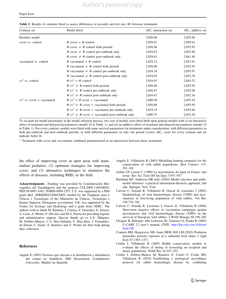<span id="page-8-0"></span>

| Contrast set                  | Model fitted                                                               | $AICc$ interaction set | $AICc$ additive set |
|-------------------------------|----------------------------------------------------------------------------|------------------------|---------------------|
| Baseline model                |                                                                            | 2,856.06               | 2,855.96            |
| cover vs. control             | $\Phi$ cover = $\Phi$ control                                              | 2,858.91               | 2,859.61            |
|                               | $\Phi$ cover $\neq$ $\Phi$ control both periods                            | 2,856.06               | 2,855.95            |
|                               | $\Phi$ cover $\neq$ $\Phi$ control pre-outbreak only                       | 2,854.83               | 2,852.96            |
|                               | $\Phi$ cover $\neq$ $\Phi$ control post-outbreak only                      | 2,858.61               | 2,861.48            |
| vaccinated vs. control        | $\Phi$ vaccinated = $\Phi$ control                                         | 2,852.12               | 2,853.91            |
|                               | $\Phi$ vaccinated $\neq$ $\Phi$ control both periods                       | 2,856.06               | 2,855.95            |
|                               | $\Phi$ vaccinated $\neq$ $\Phi$ control pre-outbreak only                  | 2,854.18               | 2,855.97            |
|                               | $\Phi$ vaccinated $\neq$ $\Phi$ control post-outbreak only                 | 2,854.03               | 2,853.76            |
| $cv^a$ vs. control            | $\Phi$ cv <sup>a</sup> = $\Phi$ control                                    | 2,854.93               | 2,854.32            |
|                               | $\Phi$ cv <sup>a</sup> $\neq$ $\Phi$ control both periods                  | 2,856.06               | 2,855.95            |
|                               | $\Phi$ cv <sup>a</sup> $\neq$ $\Phi$ control pre-outbreak only             | 2,856.87               | 2,855.68            |
|                               | $\Phi$ cv <sup>a</sup> $\neq$ $\Phi$ control post-outbreak only            | 2,854.67               | 2,852.36            |
| $cv^a$ vs. cover + vaccinated | $\Phi$ cv <sup>a</sup> = $\Phi$ cover + vaccinated                         | 2,888.50               | 2,855.54            |
|                               | $\Phi$ cv <sup>a</sup> $\neq$ $\Phi$ cover + vaccinated both periods       | 2,856.06               | 2,855.95            |
|                               | $\Phi$ cv <sup>a</sup> $\neq$ $\Phi$ cover + vaccinated pre-outbreak only  | 2,854.15               | 2,855.68            |
|                               | $\Phi$ cv <sup>a</sup> $\neq$ $\Phi$ cover + vaccinated post-outbreak only | 2,880.75               | 2,852.36            |

To account for model uncertainty in the model selection process, two sets of models were fitted built upon general models with (i) an interactive effect of treatment and delayed myxomatosis (model 16 in Table [1](#page-6-0)), and (ii) an additive effect of treatment and delayed myxomatosis (model 15 in Table [1](#page-6-0)). For every contrast, models were fitted with same survival parameters for treatments under consideration, with different parameters in both pre-outbreak and post-outbreak periods, or with different parameters in only one period. Lower AIC<sub>c</sub> score for every contrast and set indicate better fit

<sup>a</sup> Treatment with cover and vaccination combined parameterised as an interaction between those treatments

the effect of improving cover in open areas with mammalian predators, (2) optimum strategies for improving cover; and (3) alternative techniques to minimize the effects of diseases, including RHD, in the field.

Acknowledgments Funding was provided by Confederación Hidrográfica del Guadalquivir and the projects CGL2009-11665/BOS, PEII 09-0097-4363, POII09-0099-2557. C.F. was supported by a PhD grant (Ref. SFRH/BD/22084/2005) funded by the Fundação para a Ciência e Tecnologia of the Ministério da Ciência, Tecnologia e Ensino Superior, Portuguese government. S.R. was supported by the Centre for Ecology and Hydrology and a grant from NERC. The authors wish to thank M. Bautista, I. Cuenca, F. González, E. Grosso, A. León, A. Menor, P. Olivares and M.A. Puerta for providing logistic and administrative support. Special thanks go to L.E. Mínguez, M. Delibes-Mateos, C.A. Ríos-Saldaña, F. Díaz-Ruiz, J. Fernandezde-Simon, C. Iriarte, E. Ramírez and V. Piorno for their help during data collection.

#### References

Angulo E (2003) Factores que afectan a la distribución y abundancia del conejo en Andalucía. PhD Dissertation, Complutense University, Madrid (in Spanish)

- Angulo E, Villafuerte R (2003) Modelling hunting strategies for the conservation of wild rabbit populations. Biol Conserv 115: 291–301
- Arthur CP, Louzis C (1988) La myxomatose du lapin en France: une revue. Rev Sci Tech Off Int Epiz 7:937–957
- Burnham KP, Anderson DR (eds) (2002) Model selection and multimodel inference: a practical information-theoretic approach, 2nd edn. Springer, New York
- Calvete C, Estrada R, Villafuerte R, Osacar JJ, Lucientes J (2002) Epidemiology of viral haemorrhagic disease (VHD) and myxomatosis in free-living population of wild rabbits. Vet Rec 150:776–782
- Calvete C, Estrada R, Lucientes J, Osacar JJ, Villafuerte R (2004) Short-term negative effects of vaccination campaigns against myxomatosis and viral haemorrhagic disease (VHD) on the survival of European wild rabbits. J Wildl Manage 68:198–205
- Choquet R, Reboulet AM, Lebreton JD, Gimenez O, Pradel R (2005) U-CARE 2.2 user's manual. CEFE. [http://ftp.cefe.cnrs.fr/biom/](http://ftp.cefe.cnrs.fr/biom/Soft-CR/) [Soft-CR/](http://ftp.cefe.cnrs.fr/biom/Soft-CR/)
- Connors BM, Hargreaves NB, Jones SRM, Dill LM (2010) Predation intensifies parasite exposure in a salmonid food chain. J Appl Ecol 47:1365–1371
- Cotilla I, Villafuerte R (2007) Rabbit conservation: models to evaluate the effects of timing of restocking on recipient and donor populations. Wildl Res 34:247–252
- Cotilla I, Delibes-Mateos M, Ramı´rez E, Castro F, Cooke BD, Villafuerte R (2010) Establishing a serological surveillance protocol for rabbit hemorrhagic disease by combining